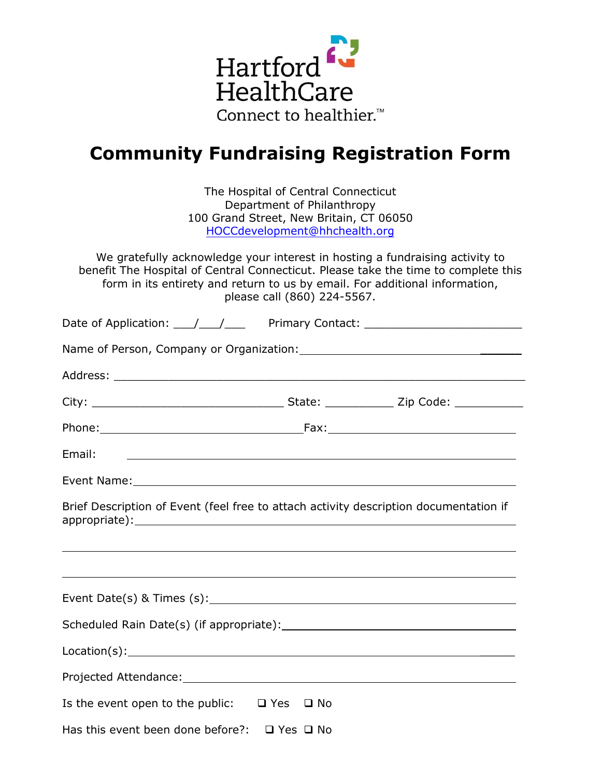

## **Community Fundraising Registration Form**

The Hospital of Central Connecticut Department of Philanthropy 100 Grand Street, New Britain, CT 06050 HOCCdevelopment@hhchealth.org

We gratefully acknowledge your interest in hosting a fundraising activity to benefit The Hospital of Central Connecticut. Please take the time to complete this form in its entirety and return to us by email. For additional information, please call (860) 224-5567.

| Email:                                                                                                         |  | <u> 1980 - Johann Stoff, deutscher Stoffen und der Stoffen und der Stoffen und der Stoffen und der Stoffen und der</u> |  |  |  |  |  |
|----------------------------------------------------------------------------------------------------------------|--|------------------------------------------------------------------------------------------------------------------------|--|--|--|--|--|
|                                                                                                                |  |                                                                                                                        |  |  |  |  |  |
| Brief Description of Event (feel free to attach activity description documentation if                          |  |                                                                                                                        |  |  |  |  |  |
|                                                                                                                |  |                                                                                                                        |  |  |  |  |  |
|                                                                                                                |  |                                                                                                                        |  |  |  |  |  |
|                                                                                                                |  |                                                                                                                        |  |  |  |  |  |
|                                                                                                                |  |                                                                                                                        |  |  |  |  |  |
|                                                                                                                |  |                                                                                                                        |  |  |  |  |  |
| Projected Attendance: Manual Communication of the Communication of the Communication of the Communication of t |  |                                                                                                                        |  |  |  |  |  |
| Is the event open to the public: $\Box$ Yes $\Box$ No                                                          |  |                                                                                                                        |  |  |  |  |  |
| Has this event been done before?: $\Box$ Yes $\Box$ No                                                         |  |                                                                                                                        |  |  |  |  |  |